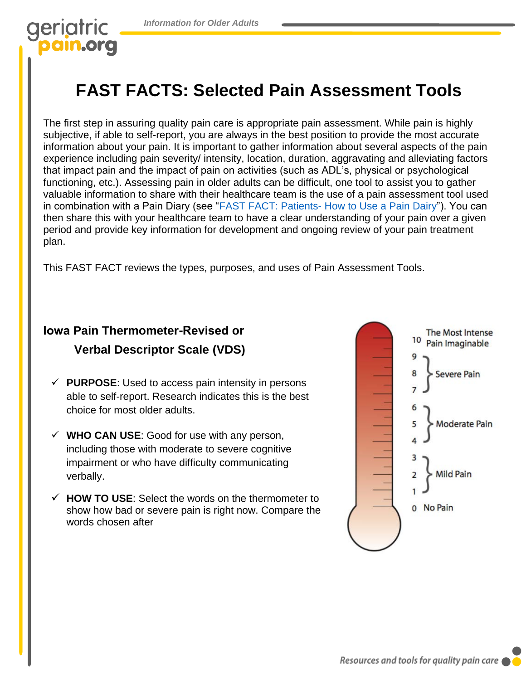## geriatric pain.org

## **FAST FACTS: Selected Pain Assessment Tools**

The first step in assuring quality pain care is appropriate pain assessment. While pain is highly subjective, if able to self-report, you are always in the best position to provide the most accurate information about your pain. It is important to gather information about several aspects of the pain experience including pain severity/ intensity, location, duration, aggravating and alleviating factors that impact pain and the impact of pain on activities (such as ADL's, physical or psychological functioning, etc.). Assessing pain in older adults can be difficult, one tool to assist you to gather valuable information to share with their healthcare team is the use of a pain assessment tool used in combination with a Pain Diary (see ["FAST FACT: Patients- How to Use a Pain Dairy"\)](https://geriatricpain.org/sites/geriatricpain.org/files/2021-04/FF%20Patients_When%20to%20Use%20Pain%20Diary%20%282020%29.pdf). You can then share this with your healthcare team to have a clear understanding of your pain over a given period and provide key information for development and ongoing review of your pain treatment plan.

This FAST FACT reviews the types, purposes, and uses of Pain Assessment Tools.

### **Iowa Pain Thermometer-Revised or Verbal Descriptor Scale (VDS)**

- ✓ **PURPOSE**: Used to access pain intensity in persons able to self-report. Research indicates this is the best choice for most older adults.
- $\checkmark$  WHO CAN USE: Good for use with any person, including those with moderate to severe cognitive impairment or who have difficulty communicating verbally.
- ✓ **HOW TO USE**: Select the words on the thermometer to show how bad or severe pain is right now. Compare the words chosen after

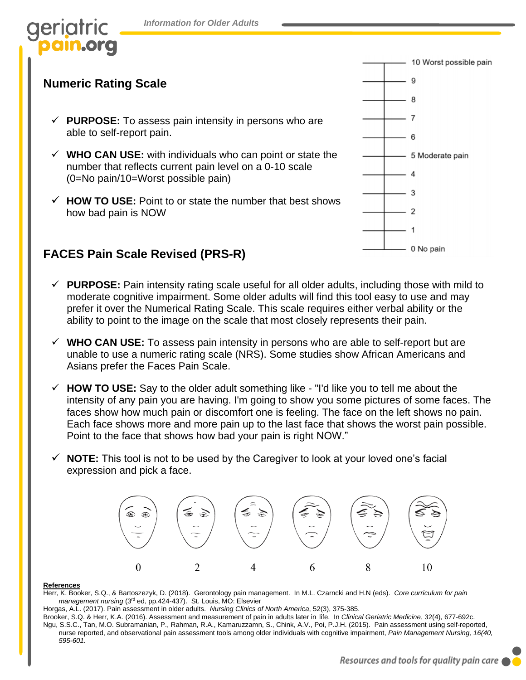# IOTI

#### **Numeric Rating Scale**

- $\checkmark$  **PURPOSE:** To assess pain intensity in persons who are able to self-report pain.
- $\checkmark$  WHO CAN USE: with individuals who can point or state the number that reflects current pain level on a 0-10 scale (0=No pain/10=Worst possible pain)
- ✓ **HOW TO USE:** Point to or state the number that best shows how bad pain is NOW

#### **FACES Pain Scale Revised (PRS-R)**

- $\checkmark$  **PURPOSE:** Pain intensity rating scale useful for all older adults, including those with mild to moderate cognitive impairment. Some older adults will find this tool easy to use and may prefer it over the Numerical Rating Scale. This scale requires either verbal ability or the ability to point to the image on the scale that most closely represents their pain.
- ✓ **WHO CAN USE:** To assess pain intensity in persons who are able to self-report but are unable to use a numeric rating scale (NRS). Some studies show African Americans and Asians prefer the Faces Pain Scale.
- ✓ **HOW TO USE:** Say to the older adult something like "I'd like you to tell me about the intensity of any pain you are having. I'm going to show you some pictures of some faces. The faces show how much pain or discomfort one is feeling. The face on the left shows no pain. Each face shows more and more pain up to the last face that shows the worst pain possible. Point to the face that shows how bad your pain is right NOW."
- ✓ **NOTE:** This tool is not to be used by the Caregiver to look at your loved one's facial expression and pick a face.



#### **References**

Herr, K. Booker, S.Q., & Bartoszezyk, D. (2018). Gerontology pain management. In M.L. Czarncki and H.N (eds). *Core curriculum for pain management nursing* (3rd ed, pp.424-437). St. Louis, MO: Elsevier

Horgas, A.L. (2017). Pain assessment in older adults. *Nursing Clinics of North America*, 52(3), 375-385.

Brooker, S.Q. & Herr, K.A. (2016). Assessment and measurement of pain in adults later in life. In *Clinical Geriatric Medicine*, 32(4), 677-692c.

Ngu, S.S.C., Tan, M.O. Subramanian, P., Rahman, R.A., Kamaruzzamn, S., Chink, A.V., Poi, P.J.H. (2015). Pain assessment using self-reported, nurse reported, and observational pain assessment tools among older individuals with cognitive impairment, *Pain Management Nursing, 16(40, 595-601.*

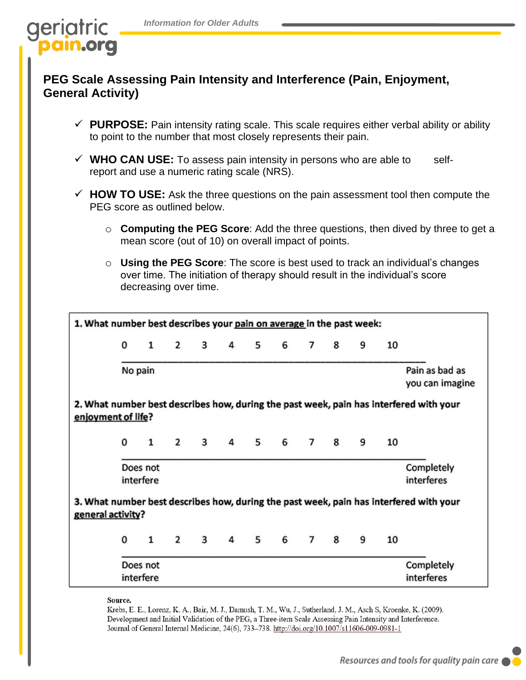

#### **PEG Scale Assessing Pain Intensity and Interference (Pain, Enjoyment, General Activity)**

- $\checkmark$  **PURPOSE:** Pain intensity rating scale. This scale requires either verbal ability or ability to point to the number that most closely represents their pain.
- ✓ **WHO CAN USE:** To assess pain intensity in persons who are able to selfreport and use a numeric rating scale (NRS).
- ✓ **HOW TO USE:** Ask the three questions on the pain assessment tool then compute the PEG score as outlined below.
	- o **Computing the PEG Score**: Add the three questions, then dived by three to get a mean score (out of 10) on overall impact of points.
	- o **Using the PEG Score**: The score is best used to track an individual's changes over time. The initiation of therapy should result in the individual's score decreasing over time.



Source.

Krebs, E. E., Lorenz, K. A., Bair, M. J., Damush, T. M., Wu, J., Sutherland, J. M., Asch S, Kroenke, K. (2009). Development and Initial Validation of the PEG, a Three-item Scale Assessing Pain Intensity and Interference. Journal of General Internal Medicine, 24(6), 733-738. http://doi.org/10.1007/s11606-009-0981-1